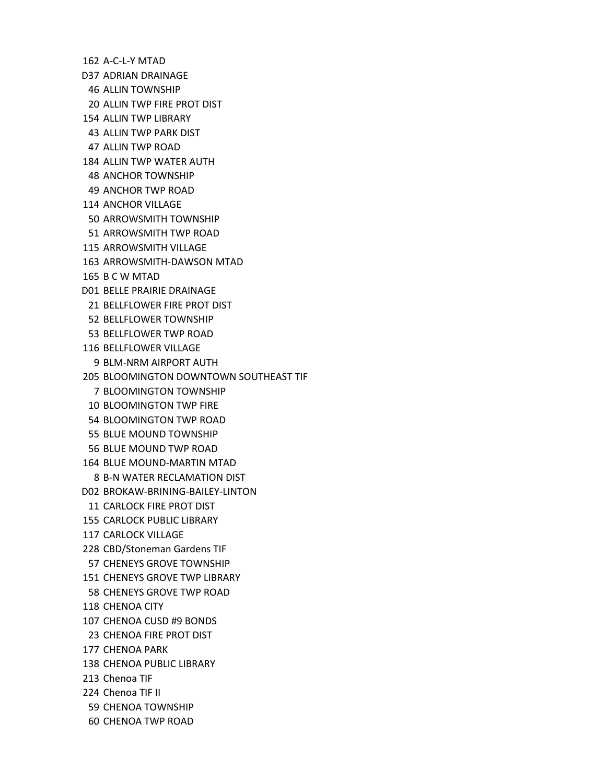162 A‐C‐L‐Y MTAD D37 ADRIAN DRAINAGE 46 ALLIN TOWNSHIP 20 ALLIN TWP FIRE PROT DIST 154 ALLIN TWP LIBRARY

43 ALLIN TWP PARK DIST

47 ALLIN TWP ROAD

184 ALLIN TWP WATER AUTH

48 ANCHOR TOWNSHIP

49 ANCHOR TWP ROAD

114 ANCHOR VILLAGE

50 ARROWSMITH TOWNSHIP

51 ARROWSMITH TWP ROAD

115 ARROWSMITH VILLAGE

163 ARROWSMITH‐DAWSON MTAD

165 B C W MTAD

D01 BELLE PRAIRIE DRAINAGE

21 BELLFLOWER FIRE PROT DIST

52 BELLFLOWER TOWNSHIP

53 BELLFLOWER TWP ROAD

116 BELLFLOWER VILLAGE

9 BLM‐NRM AIRPORT AUTH

205 BLOOMINGTON DOWNTOWN SOUTHEAST TIF

7 BLOOMINGTON TOWNSHIP

10 BLOOMINGTON TWP FIRE

54 BLOOMINGTON TWP ROAD

55 BLUE MOUND TOWNSHIP

56 BLUE MOUND TWP ROAD

164 BLUE MOUND‐MARTIN MTAD

8 B‐N WATER RECLAMATION DIST

D02 BROKAW‐BRINING‐BAILEY‐LINTON

11 CARLOCK FIRE PROT DIST

155 CARLOCK PUBLIC LIBRARY

117 CARLOCK VILLAGE

228 CBD/Stoneman Gardens TIF

57 CHENEYS GROVE TOWNSHIP

151 CHENEYS GROVE TWP LIBRARY

58 CHENEYS GROVE TWP ROAD

118 CHENOA CITY

107 CHENOA CUSD #9 BONDS

23 CHENOA FIRE PROT DIST

177 CHENOA PARK

138 CHENOA PUBLIC LIBRARY

213 Chenoa TIF

224 Chenoa TIF II

59 CHENOA TOWNSHIP

60 CHENOA TWP ROAD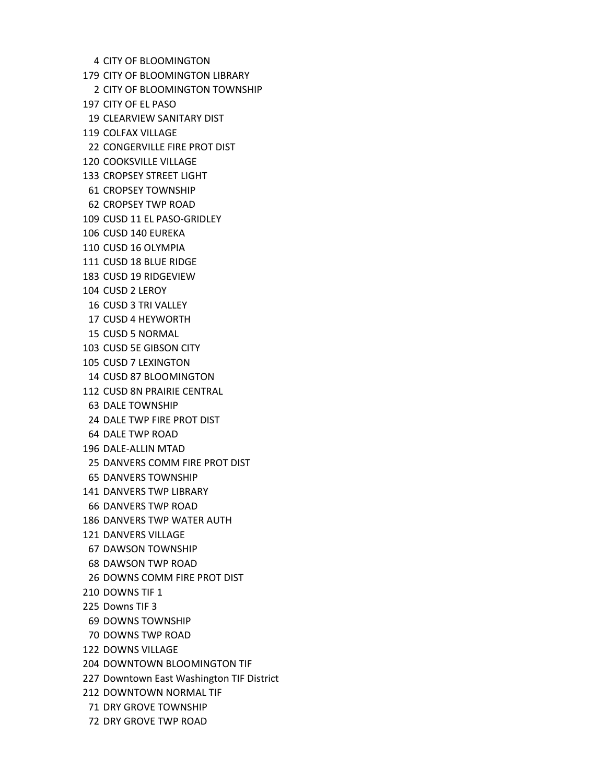4 CITY OF BLOOMINGTON 179 CITY OF BLOOMINGTON LIBRARY 2 CITY OF BLOOMINGTON TOWNSHIP 197 CITY OF EL PASO 19 CLEARVIEW SANITARY DIST 119 COLFAX VILLAGE 22 CONGERVILLE FIRE PROT DIST 120 COOKSVILLE VILLAGE 133 CROPSEY STREET LIGHT 61 CROPSEY TOWNSHIP 62 CROPSEY TWP ROAD 109 CUSD 11 EL PASO‐GRIDLEY 106 CUSD 140 EUREKA 110 CUSD 16 OLYMPIA 111 CUSD 18 BLUE RIDGE 183 CUSD 19 RIDGEVIEW 104 CUSD 2 LEROY 16 CUSD 3 TRI VALLEY 17 CUSD 4 HEYWORTH 15 CUSD 5 NORMAL 103 CUSD 5E GIBSON CITY 105 CUSD 7 LEXINGTON 14 CUSD 87 BLOOMINGTON 112 CUSD 8N PRAIRIE CENTRAL 63 DALE TOWNSHIP 24 DALE TWP FIRE PROT DIST 64 DALE TWP ROAD 196 DALE‐ALLIN MTAD 25 DANVERS COMM FIRE PROT DIST 65 DANVERS TOWNSHIP 141 DANVERS TWP LIBRARY 66 DANVERS TWP ROAD 186 DANVERS TWP WATER AUTH 121 DANVERS VILLAGE 67 DAWSON TOWNSHIP 68 DAWSON TWP ROAD 26 DOWNS COMM FIRE PROT DIST 210 DOWNS TIF 1 225 Downs TIF 3 69 DOWNS TOWNSHIP 70 DOWNS TWP ROAD 122 DOWNS VILLAGE 204 DOWNTOWN BLOOMINGTON TIF 227 Downtown East Washington TIF District 212 DOWNTOWN NORMAL TIF 71 DRY GROVE TOWNSHIP 72 DRY GROVE TWP ROAD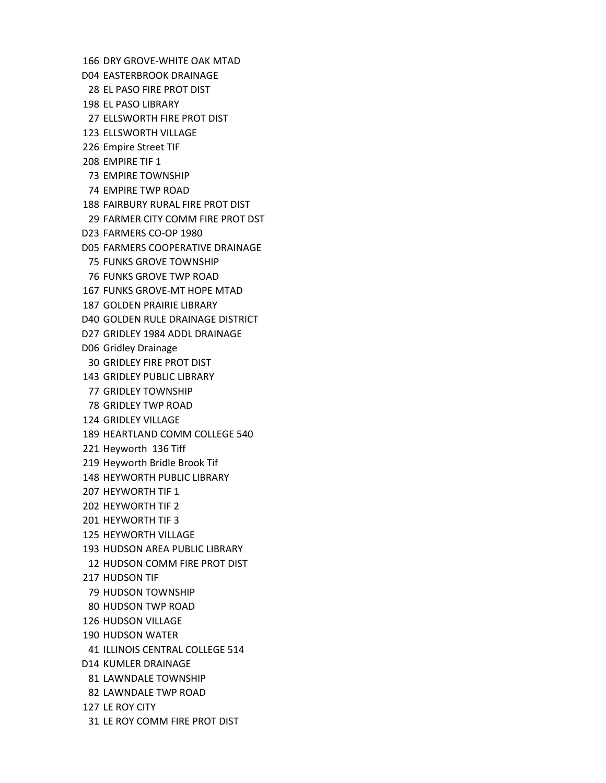166 DRY GROVE‐WHITE OAK MTAD D04 EASTERBROOK DRAINAGE 28 EL PASO FIRE PROT DIST 198 EL PASO LIBRARY 27 ELLSWORTH FIRE PROT DIST 123 ELLSWORTH VILLAGE 226 Empire Street TIF 208 EMPIRE TIF 1 73 EMPIRE TOWNSHIP 74 EMPIRE TWP ROAD 188 FAIRBURY RURAL FIRE PROT DIST 29 FARMER CITY COMM FIRE PROT DST D23 FARMERS CO‐OP 1980 D05 FARMERS COOPERATIVE DRAINAGE 75 FUNKS GROVE TOWNSHIP 76 FUNKS GROVE TWP ROAD 167 FUNKS GROVE‐MT HOPE MTAD 187 GOLDEN PRAIRIE LIBRARY D40 GOLDEN RULE DRAINAGE DISTRICT D27 GRIDLEY 1984 ADDL DRAINAGE D06 Gridley Drainage 30 GRIDLEY FIRE PROT DIST 143 GRIDLEY PUBLIC LIBRARY 77 GRIDLEY TOWNSHIP 78 GRIDLEY TWP ROAD 124 GRIDLEY VILLAGE 189 HEARTLAND COMM COLLEGE 540 221 Heyworth 136 Tiff 219 Heyworth Bridle Brook Tif 148 HEYWORTH PUBLIC LIBRARY 207 HEYWORTH TIF 1 202 HEYWORTH TIF 2 201 HEYWORTH TIF 3 125 HEYWORTH VILLAGE 193 HUDSON AREA PUBLIC LIBRARY 12 HUDSON COMM FIRE PROT DIST 217 HUDSON TIF 79 HUDSON TOWNSHIP 80 HUDSON TWP ROAD 126 HUDSON VILLAGE 190 HUDSON WATER 41 ILLINOIS CENTRAL COLLEGE 514 D14 KUMLER DRAINAGE 81 LAWNDALE TOWNSHIP 82 LAWNDALE TWP ROAD 127 LE ROY CITY 31 LE ROY COMM FIRE PROT DIST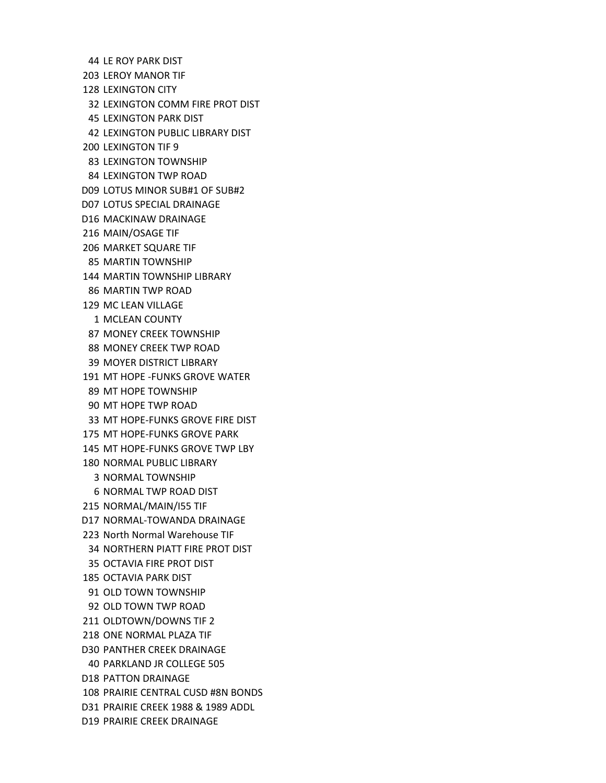44 LE ROY PARK DIST 203 LEROY MANOR TIF 128 LEXINGTON CITY 32 LEXINGTON COMM FIRE PROT DIST 45 LEXINGTON PARK DIST 42 LEXINGTON PUBLIC LIBRARY DIST 200 LEXINGTON TIF 9 83 LEXINGTON TOWNSHIP 84 LEXINGTON TWP ROAD D09 LOTUS MINOR SUB#1 OF SUB#2 D07 LOTUS SPECIAL DRAINAGE D16 MACKINAW DRAINAGE 216 MAIN/OSAGE TIF 206 MARKET SQUARE TIF 85 MARTIN TOWNSHIP 144 MARTIN TOWNSHIP LIBRARY 86 MARTIN TWP ROAD 129 MC LEAN VILLAGE 1 MCLEAN COUNTY 87 MONEY CREEK TOWNSHIP 88 MONEY CREEK TWP ROAD 39 MOYER DISTRICT LIBRARY 191 MT HOPE ‐FUNKS GROVE WATER 89 MT HOPE TOWNSHIP 90 MT HOPE TWP ROAD 33 MT HOPE‐FUNKS GROVE FIRE DIST 175 MT HOPE‐FUNKS GROVE PARK 145 MT HOPE‐FUNKS GROVE TWP LBY 180 NORMAL PUBLIC LIBRARY 3 NORMAL TOWNSHIP 6 NORMAL TWP ROAD DIST 215 NORMAL/MAIN/I55 TIF D17 NORMAL‐TOWANDA DRAINAGE 223 North Normal Warehouse TIF 34 NORTHERN PIATT FIRE PROT DIST 35 OCTAVIA FIRE PROT DIST 185 OCTAVIA PARK DIST 91 OLD TOWN TOWNSHIP 92 OLD TOWN TWP ROAD 211 OLDTOWN/DOWNS TIF 2 218 ONE NORMAL PLAZA TIF D30 PANTHER CREEK DRAINAGE 40 PARKLAND JR COLLEGE 505 D18 PATTON DRAINAGE 108 PRAIRIE CENTRAL CUSD #8N BONDS D31 PRAIRIE CREEK 1988 & 1989 ADDL D19 PRAIRIE CREEK DRAINAGE